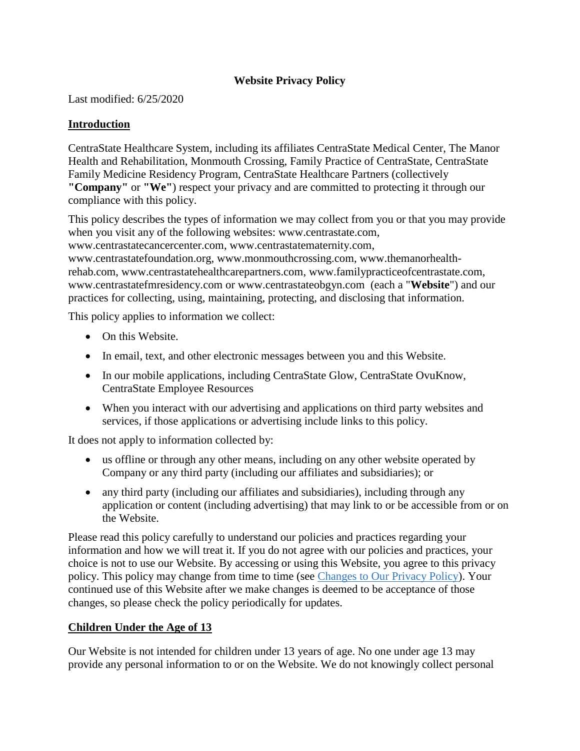# **Website Privacy Policy**

Last modified: 6/25/2020

#### **Introduction**

CentraState Healthcare System, including its affiliates CentraState Medical Center, The Manor Health and Rehabilitation, Monmouth Crossing, Family Practice of CentraState, CentraState Family Medicine Residency Program, CentraState Healthcare Partners (collectively **"Company"** or **"We"**) respect your privacy and are committed to protecting it through our compliance with this policy.

This policy describes the types of information we may collect from you or that you may provide when you visit any of the following websites: [www.centrastate.com,](http://www.centrastate.com/)

[www.centrastatecancercenter.com,](http://www.centrastatecancercenter.com/) [www.centrastatematernity.com,](http://www.centrastatematernity.com/)

[www.centrastatefoundation.org,](http://www.centrastatefoundation.org/) [www.monmouthcrossing.com,](http://www.monmouthcrossing.com/) [www.themanorhealth](http://www.themanorhealth-rehab.com/)[rehab.com,](http://www.themanorhealth-rehab.com/) [www.centrastatehealthcarepartners.com,](http://www.centrastatehealthcarepartners.com/) [www.familypracticeofcentrastate.com,](http://www.familypracticeofcentrastate.com/) [www.centrastatefmresidency.com](http://www.centrastatefmresidency.com/) or [www.centrastateobgyn.com](http://www.centrastateobgyn.com/) (each a "**Website**") and our practices for collecting, using, maintaining, protecting, and disclosing that information.

This policy applies to information we collect:

- On this Website.
- In email, text, and other electronic messages between you and this Website.
- In our mobile applications, including CentraState Glow, CentraState OvuKnow, CentraState Employee Resources
- When you interact with our advertising and applications on third party websites and services, if those applications or advertising include links to this policy.

It does not apply to information collected by:

- us offline or through any other means, including on any other website operated by Company or any third party (including our affiliates and subsidiaries); or
- any third party (including our affiliates and subsidiaries), including through any application or content (including advertising) that may link to or be accessible from or on the Website.

Please read this policy carefully to understand our policies and practices regarding your information and how we will treat it. If you do not agree with our policies and practices, your choice is not to use our Website. By accessing or using this Website, you agree to this privacy policy. This policy may change from time to time (see Changes to Our Privacy Policy). Your continued use of this Website after we make changes is deemed to be acceptance of those changes, so please check the policy periodically for updates.

#### **Children Under the Age of 13**

Our Website is not intended for children under 13 years of age. No one under age 13 may provide any personal information to or on the Website. We do not knowingly collect personal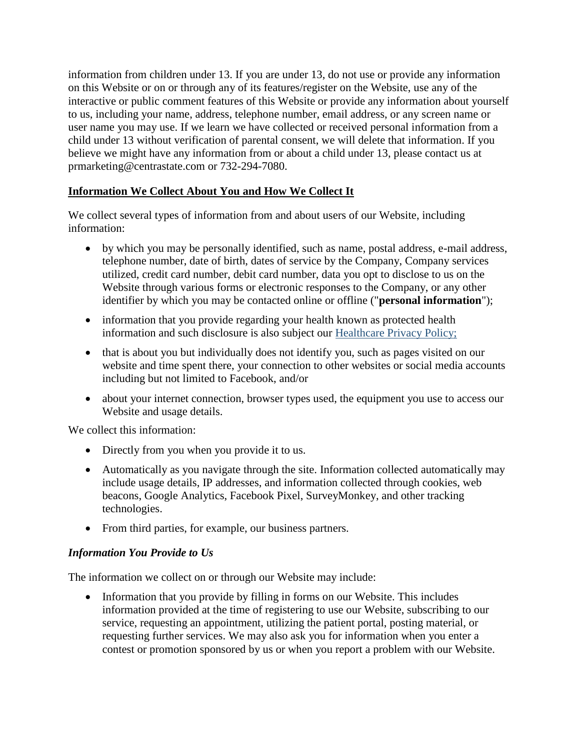information from children under 13. If you are under 13, do not use or provide any information on this Website or on or through any of its features/register on the Website, use any of the interactive or public comment features of this Website or provide any information about yourself to us, including your name, address, telephone number, email address, or any screen name or user name you may use. If we learn we have collected or received personal information from a child under 13 without verification of parental consent, we will delete that information. If you believe we might have any information from or about a child under 13, please contact us at prmarketing@centrastate.com or 732-294-7080.

## **Information We Collect About You and How We Collect It**

We collect several types of information from and about users of our Website, including information:

- by which you may be personally identified, such as name, postal address, e-mail address, telephone number, date of birth, dates of service by the Company, Company services utilized, credit card number, debit card number, data you opt to disclose to us on the Website through various forms or electronic responses to the Company, or any other identifier by which you may be contacted online or offline ("**personal information**");
- information that you provide regarding your health known as protected health information and such disclosure is also subject our Healthcare Privacy Policy;
- that is about you but individually does not identify you, such as pages visited on our website and time spent there, your connection to other websites or social media accounts including but not limited to Facebook, and/or
- about your internet connection, browser types used, the equipment you use to access our Website and usage details.

We collect this information:

- Directly from you when you provide it to us.
- Automatically as you navigate through the site. Information collected automatically may include usage details, IP addresses, and information collected through cookies, web beacons, Google Analytics, Facebook Pixel, SurveyMonkey, and other tracking technologies.
- From third parties, for example, our business partners.

#### *Information You Provide to Us*

The information we collect on or through our Website may include:

• Information that you provide by filling in forms on our Website. This includes information provided at the time of registering to use our Website, subscribing to our service, requesting an appointment, utilizing the patient portal, posting material, or requesting further services. We may also ask you for information when you enter a contest or promotion sponsored by us or when you report a problem with our Website.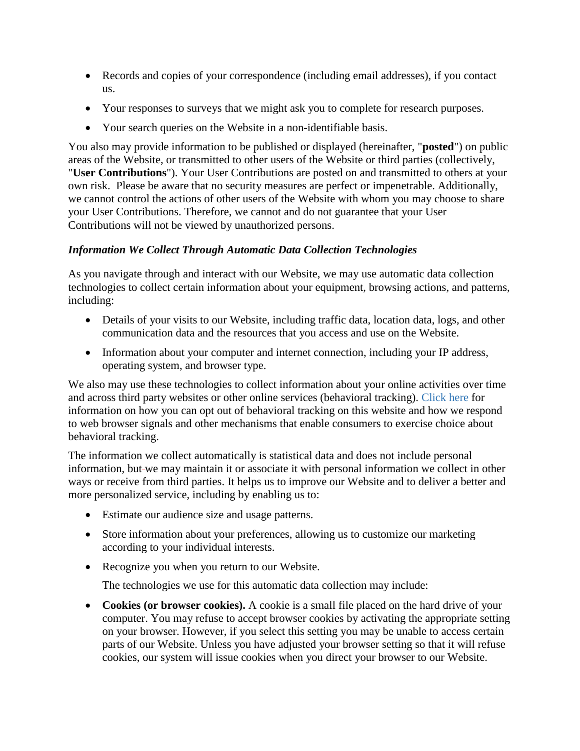- Records and copies of your correspondence (including email addresses), if you contact us.
- Your responses to surveys that we might ask you to complete for research purposes.
- Your search queries on the Website in a non-identifiable basis.

You also may provide information to be published or displayed (hereinafter, "**posted**") on public areas of the Website, or transmitted to other users of the Website or third parties (collectively, "**User Contributions**"). Your User Contributions are posted on and transmitted to others at your own risk. Please be aware that no security measures are perfect or impenetrable. Additionally, we cannot control the actions of other users of the Website with whom you may choose to share your User Contributions. Therefore, we cannot and do not guarantee that your User Contributions will not be viewed by unauthorized persons.

## *Information We Collect Through Automatic Data Collection Technologies*

As you navigate through and interact with our Website, we may use automatic data collection technologies to collect certain information about your equipment, browsing actions, and patterns, including:

- Details of your visits to our Website, including traffic data, location data, logs, and other communication data and the resources that you access and use on the Website.
- Information about your computer and internet connection, including your IP address, operating system, and browser type.

We also may use these technologies to collect information about your online activities over time and across third party websites or other online services (behavioral tracking). Click here for information on how you can opt out of behavioral tracking on this website and how we respond to web browser signals and other mechanisms that enable consumers to exercise choice about behavioral tracking.

The information we collect automatically is statistical data and does not include personal information, but-we may maintain it or associate it with personal information we collect in other ways or receive from third parties. It helps us to improve our Website and to deliver a better and more personalized service, including by enabling us to:

- Estimate our audience size and usage patterns.
- Store information about your preferences, allowing us to customize our marketing according to your individual interests.
- Recognize you when you return to our Website.

The technologies we use for this automatic data collection may include:

 **Cookies (or browser cookies).** A cookie is a small file placed on the hard drive of your computer. You may refuse to accept browser cookies by activating the appropriate setting on your browser. However, if you select this setting you may be unable to access certain parts of our Website. Unless you have adjusted your browser setting so that it will refuse cookies, our system will issue cookies when you direct your browser to our Website.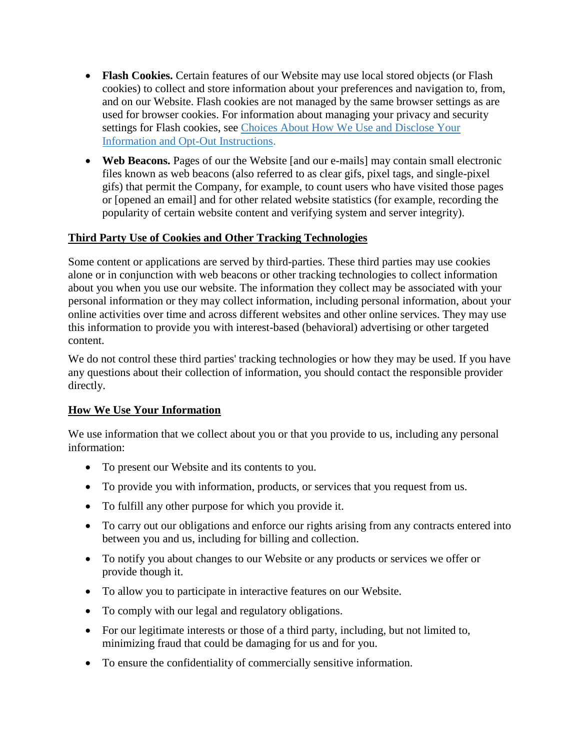- **Flash Cookies.** Certain features of our Website may use local stored objects (or Flash cookies) to collect and store information about your preferences and navigation to, from, and on our Website. Flash cookies are not managed by the same browser settings as are used for browser cookies. For information about managing your privacy and security settings for Flash cookies, see Choices About How We Use and Disclose Your Information and Opt-Out Instructions.
- **Web Beacons.** Pages of our the Website [and our e-mails] may contain small electronic files known as web beacons (also referred to as clear gifs, pixel tags, and single-pixel gifs) that permit the Company, for example, to count users who have visited those pages or [opened an email] and for other related website statistics (for example, recording the popularity of certain website content and verifying system and server integrity).

## **Third Party Use of Cookies and Other Tracking Technologies**

Some content or applications are served by third-parties. These third parties may use cookies alone or in conjunction with web beacons or other tracking technologies to collect information about you when you use our website. The information they collect may be associated with your personal information or they may collect information, including personal information, about your online activities over time and across different websites and other online services. They may use this information to provide you with interest-based (behavioral) advertising or other targeted content.

We do not control these third parties' tracking technologies or how they may be used. If you have any questions about their collection of information, you should contact the responsible provider directly.

#### **How We Use Your Information**

We use information that we collect about you or that you provide to us, including any personal information:

- To present our Website and its contents to you.
- To provide you with information, products, or services that you request from us.
- To fulfill any other purpose for which you provide it.
- To carry out our obligations and enforce our rights arising from any contracts entered into between you and us, including for billing and collection.
- To notify you about changes to our Website or any products or services we offer or provide though it.
- To allow you to participate in interactive features on our Website.
- To comply with our legal and regulatory obligations.
- For our legitimate interests or those of a third party, including, but not limited to, minimizing fraud that could be damaging for us and for you.
- To ensure the confidentiality of commercially sensitive information.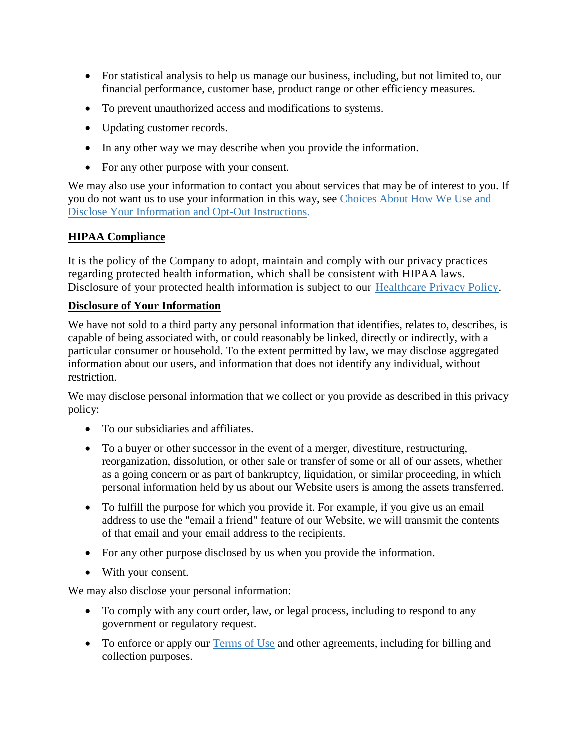- For statistical analysis to help us manage our business, including, but not limited to, our financial performance, customer base, product range or other efficiency measures.
- To prevent unauthorized access and modifications to systems.
- Updating customer records.
- In any other way we may describe when you provide the information.
- For any other purpose with your consent.

We may also use your information to contact you about services that may be of interest to you. If you do not want us to use your information in this way, see Choices About How We Use and Disclose Your Information and Opt-Out Instructions.

## **HIPAA Compliance**

It is the policy of the Company to adopt, maintain and comply with our privacy practices regarding protected health information, which shall be consistent with HIPAA laws. Disclosure of your protected health information is subject to our Healthcare Privacy Policy.

#### **Disclosure of Your Information**

We have not sold to a third party any personal information that identifies, relates to, describes, is capable of being associated with, or could reasonably be linked, directly or indirectly, with a particular consumer or household. To the extent permitted by law, we may disclose aggregated information about our users, and information that does not identify any individual, without restriction.

We may disclose personal information that we collect or you provide as described in this privacy policy:

- To our subsidiaries and affiliates.
- To a buyer or other successor in the event of a merger, divestiture, restructuring, reorganization, dissolution, or other sale or transfer of some or all of our assets, whether as a going concern or as part of bankruptcy, liquidation, or similar proceeding, in which personal information held by us about our Website users is among the assets transferred.
- To fulfill the purpose for which you provide it. For example, if you give us an email address to use the "email a friend" feature of our Website, we will transmit the contents of that email and your email address to the recipients.
- For any other purpose disclosed by us when you provide the information.
- With your consent.

We may also disclose your personal information:

- To comply with any court order, law, or legal process, including to respond to any government or regulatory request.
- To enforce or apply our Terms of Use and other agreements, including for billing and collection purposes.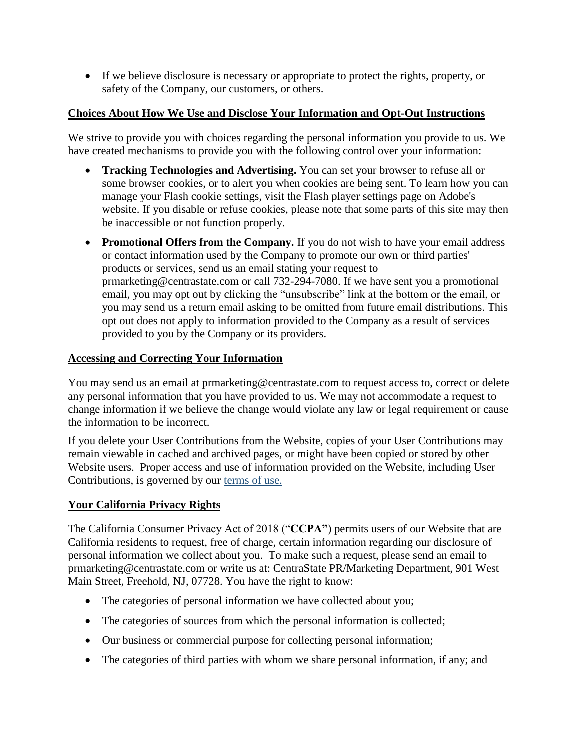If we believe disclosure is necessary or appropriate to protect the rights, property, or safety of the Company, our customers, or others.

## **Choices About How We Use and Disclose Your Information and Opt-Out Instructions**

We strive to provide you with choices regarding the personal information you provide to us. We have created mechanisms to provide you with the following control over your information:

- **Tracking Technologies and Advertising.** You can set your browser to refuse all or some browser cookies, or to alert you when cookies are being sent. To learn how you can manage your Flash cookie settings, visit the Flash player settings page on Adobe's website. If you disable or refuse cookies, please note that some parts of this site may then be inaccessible or not function properly.
- Promotional Offers from the Company. If you do not wish to have your email address or contact information used by the Company to promote our own or third parties' products or services, send us an email stating your request to prmarketing@centrastate.com or call 732-294-7080. If we have sent you a promotional email, you may opt out by clicking the "unsubscribe" link at the bottom or the email, or you may send us a return email asking to be omitted from future email distributions. This opt out does not apply to information provided to the Company as a result of services provided to you by the Company or its providers.

## **Accessing and Correcting Your Information**

You may send us an email at prmarketing@centrastate.com to request access to, correct or delete any personal information that you have provided to us. We may not accommodate a request to change information if we believe the change would violate any law or legal requirement or cause the information to be incorrect.

If you delete your User Contributions from the Website, copies of your User Contributions may remain viewable in cached and archived pages, or might have been copied or stored by other Website users. Proper access and use of information provided on the Website, including User Contributions, is governed by our terms of use.

#### **Your California Privacy Rights**

The California Consumer Privacy Act of 2018 ("**CCPA"**) permits users of our Website that are California residents to request, free of charge, certain information regarding our disclosure of personal information we collect about you. To make such a request, please send an email to prmarketing@centrastate.com or write us at: CentraState PR/Marketing Department, 901 West Main Street, Freehold, NJ, 07728. You have the right to know:

- The categories of personal information we have collected about you;
- The categories of sources from which the personal information is collected;
- Our business or commercial purpose for collecting personal information;
- The categories of third parties with whom we share personal information, if any; and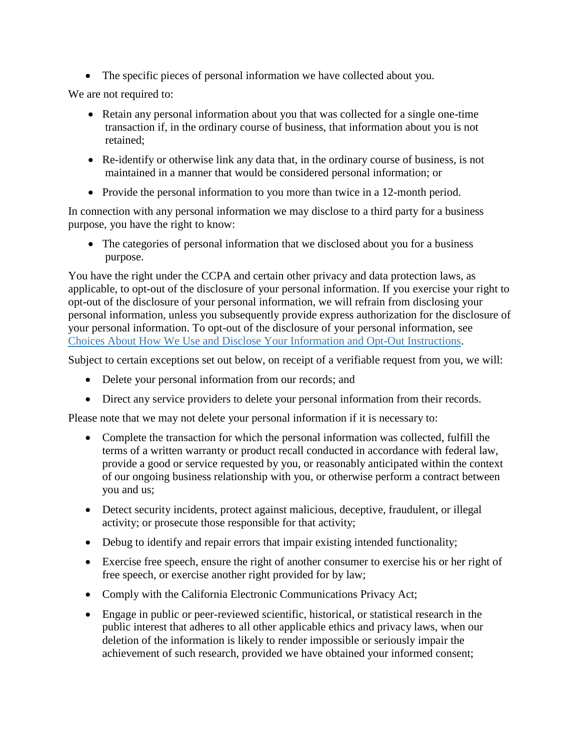The specific pieces of personal information we have collected about you.

We are not required to:

- Retain any personal information about you that was collected for a single one-time transaction if, in the ordinary course of business, that information about you is not retained;
- Re-identify or otherwise link any data that, in the ordinary course of business, is not maintained in a manner that would be considered personal information; or
- Provide the personal information to you more than twice in a 12-month period.

In connection with any personal information we may disclose to a third party for a business purpose, you have the right to know:

• The categories of personal information that we disclosed about you for a business purpose.

You have the right under the CCPA and certain other privacy and data protection laws, as applicable, to opt-out of the disclosure of your personal information. If you exercise your right to opt-out of the disclosure of your personal information, we will refrain from disclosing your personal information, unless you subsequently provide express authorization for the disclosure of your personal information. To opt-out of the disclosure of your personal information, see Choices About How We Use and Disclose Your Information and Opt-Out Instructions.

Subject to certain exceptions set out below, on receipt of a verifiable request from you, we will:

- Delete your personal information from our records; and
- Direct any service providers to delete your personal information from their records.

Please note that we may not delete your personal information if it is necessary to:

- Complete the transaction for which the personal information was collected, fulfill the terms of a written warranty or product recall conducted in accordance with federal law, provide a good or service requested by you, or reasonably anticipated within the context of our ongoing business relationship with you, or otherwise perform a contract between you and us;
- Detect security incidents, protect against malicious, deceptive, fraudulent, or illegal activity; or prosecute those responsible for that activity;
- Debug to identify and repair errors that impair existing intended functionality;
- Exercise free speech, ensure the right of another consumer to exercise his or her right of free speech, or exercise another right provided for by law;
- Comply with the California Electronic Communications Privacy Act;
- Engage in public or peer-reviewed scientific, historical, or statistical research in the public interest that adheres to all other applicable ethics and privacy laws, when our deletion of the information is likely to render impossible or seriously impair the achievement of such research, provided we have obtained your informed consent;